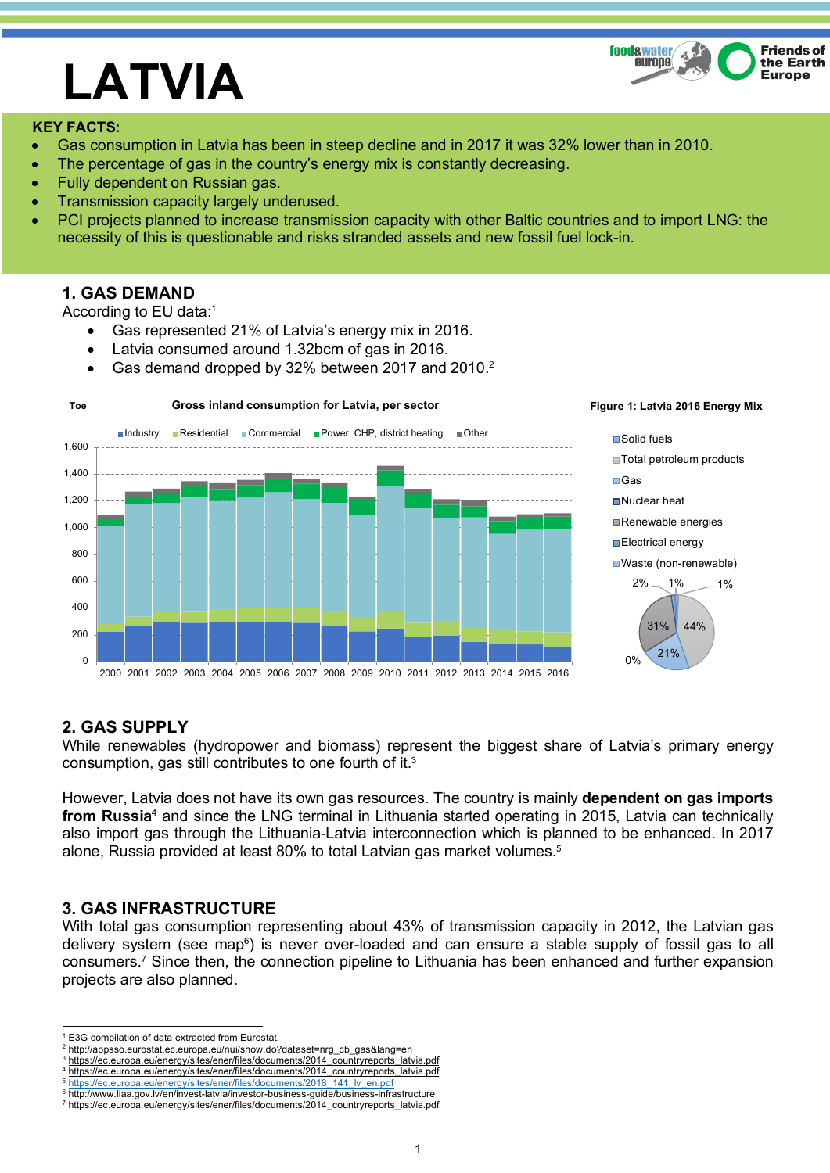#### $\mathbf{A}$ **food&water Friends of** europe the Earth **Europe**

# **LATVIA**

#### **KEY FACTS:**

- Gas consumption in Latvia has been in steep decline and in 2017 it was 32% lower than in 2010.
- The percentage of gas in the country's energy mix is constantly decreasing.
- Fully dependent on Russian gas.
- Transmission capacity largely underused.
- PCI projects planned to increase transmission capacity with other Baltic countries and to import LNG: the necessity of this is questionable and risks stranded assets and new fossil fuel lock-in.

## **1. GAS DEMAND**

According to EU data:1

- Gas represented 21% of Latvia's energy mix in 2016.
- Latvia consumed around 1.32bcm of gas in 2016.
- Gas demand dropped by 32% between 2017 and 2010.<sup>2</sup>



#### **Figure 1: Latvia 2016 Energy Mix**



# **2. GAS SUPPLY**

While renewables (hydropower and biomass) represent the biggest share of Latvia's primary energy consumption, gas still contributes to one fourth of it.3

However, Latvia does not have its own gas resources. The country is mainly **dependent on gas imports from Russia**<sup>4</sup> and since the LNG terminal in Lithuania started operating in 2015, Latvia can technically also import gas through the Lithuania-Latvia interconnection which is planned to be enhanced. In 2017 alone, Russia provided at least 80% to total Latvian gas market volumes. 5

# **3. GAS INFRASTRUCTURE**

With total gas consumption representing about 43% of transmission capacity in 2012, the Latvian gas delivery system (see map<sup>6</sup>) is never over-loaded and can ensure a stable supply of fossil gas to all consumers.7 Since then, the connection pipeline to Lithuania has been enhanced and further expansion projects are also planned.

3 https://ec.europa.eu/energy/sites/ener/files/documents/2014\_countryreports\_latvia.pdf

http://www.liaa.gov.lv/en/invest-latvia/investor-business-guide/business-infrastructure

 <sup>1</sup> E3G compilation of data extracted from Eurostat.

<sup>2</sup> http://appsso.eurostat.ec.europa.eu/nui/show.do?dataset=nrg\_cb\_gas&lang=en

https://ec.europa.eu/energy/sites/ener/files/documents/2014\_countryreports\_latvia.pdf 5 https://ec.europa.eu/energy/sites/ener/files/documents/2018\_141\_lv\_en.pdf

<sup>7</sup> https://ec.europa.eu/energy/sites/ener/files/documents/2014\_countryreports\_latvia.pdf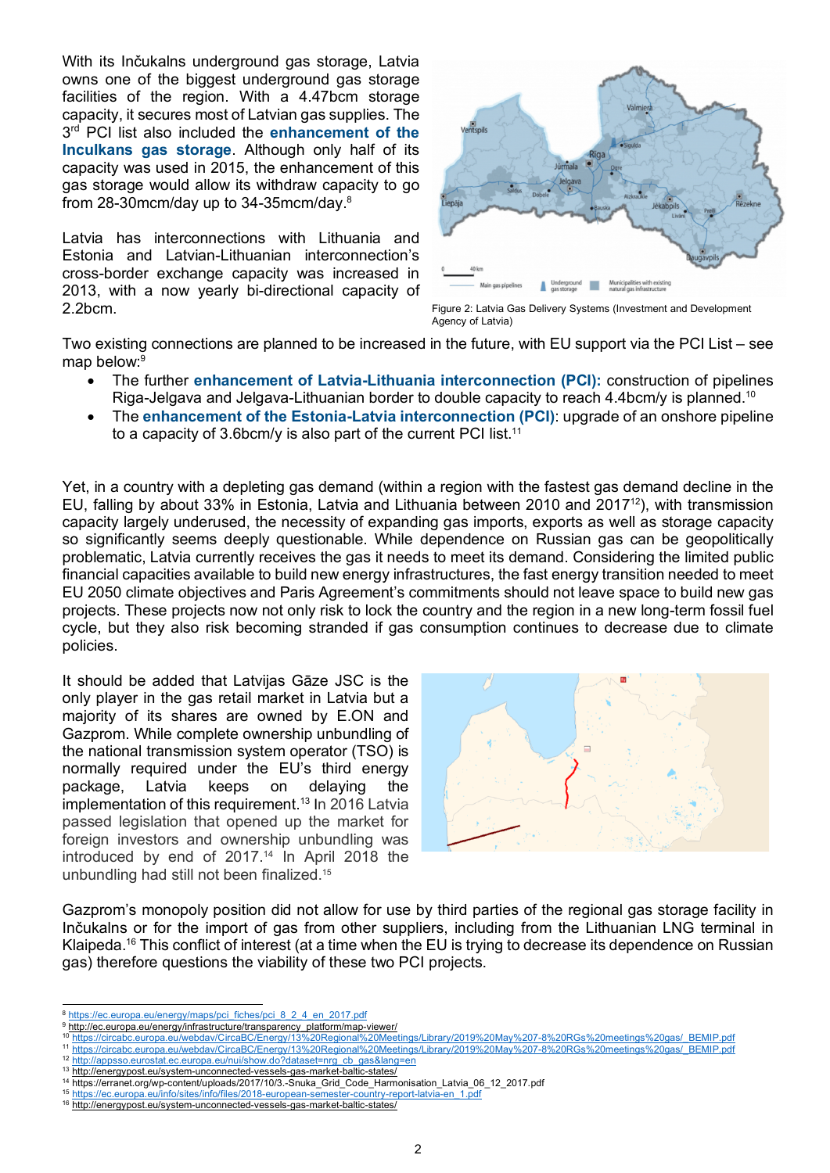With its Inčukalns underground gas storage, Latvia owns one of the biggest underground gas storage facilities of the region. With a 4.47bcm storage capacity, it secures most of Latvian gas supplies. The 3rd PCI list also included the **enhancement of the Inculkans gas storage**. Although only half of its capacity was used in 2015, the enhancement of this gas storage would allow its withdraw capacity to go from 28-30mcm/day up to 34-35mcm/day.8

Latvia has interconnections with Lithuania and Estonia and Latvian-Lithuanian interconnection's cross-border exchange capacity was increased in 2013, with a now yearly bi-directional capacity of 2.2bcm.



Figure 2: Latvia Gas Delivery Systems (Investment and Development Agency of Latvia)

Two existing connections are planned to be increased in the future, with EU support via the PCI List – see map below: 9

- The further **enhancement of Latvia-Lithuania interconnection (PCI):** construction of pipelines Riga-Jelgava and Jelgava-Lithuanian border to double capacity to reach 4.4bcm/y is planned.<sup>10</sup>
- The **enhancement of the Estonia-Latvia interconnection (PCI)**: upgrade of an onshore pipeline to a capacity of 3.6bcm/y is also part of the current PCI list.<sup>11</sup>

Yet, in a country with a depleting gas demand (within a region with the fastest gas demand decline in the EU, falling by about 33% in Estonia, Latvia and Lithuania between 2010 and 201712), with transmission capacity largely underused, the necessity of expanding gas imports, exports as well as storage capacity so significantly seems deeply questionable. While dependence on Russian gas can be geopolitically problematic, Latvia currently receives the gas it needs to meet its demand. Considering the limited public financial capacities available to build new energy infrastructures, the fast energy transition needed to meet EU 2050 climate objectives and Paris Agreement's commitments should not leave space to build new gas projects. These projects now not only risk to lock the country and the region in a new long-term fossil fuel cycle, but they also risk becoming stranded if gas consumption continues to decrease due to climate policies.

It should be added that Latvijas Gāze JSC is the only player in the gas retail market in Latvia but a majority of its shares are owned by E.ON and Gazprom. While complete ownership unbundling of the national transmission system operator (TSO) is normally required under the EU's third energy package, Latvia keeps on delaying the implementation of this requirement.<sup>13</sup> In 2016 Latvia passed legislation that opened up the market for foreign investors and ownership unbundling was introduced by end of 2017.14 In April 2018 the unbundling had still not been finalized.15



Gazprom's monopoly position did not allow for use by third parties of the regional gas storage facility in Inčukalns or for the import of gas from other suppliers, including from the Lithuanian LNG terminal in Klaipeda.16 This conflict of interest (at a time when the EU is trying to decrease its dependence on Russian gas) therefore questions the viability of these two PCI projects.

12 http://appsso<u>.eurostat.ec.europa.eu/nui/show.do?dataset=nrg\_cb\_gas&lang=en</u>

<sup>8</sup> https://ec.europa.eu/energy/maps/pci\_fiches/pci\_8\_2\_4\_en\_2017.pdf

<sup>9</sup> http://ec.europa.eu/energy/infrastructure/transparency\_platform/map-viewer/

<sup>10</sup> https://circabc.europa.eu/webdav/CircaBC/Energy/13%20Regional%20Meetings/Library/2019%20May%207-8%20RGs%20meetings%20gas/\_BEMIP.pdf <sup>11</sup> https://circabc.europa.eu/webdav/CircaBC/Energy/13%20Regional%20Meetings/Library/2019%20May%207-8%20RGs%20meetings%20gas/\_BEMIP.pdf

<sup>13</sup> http://energypost.eu/system-unconnected-vessels-gas-market-baltic-states/

<sup>14</sup> https://erranet.org/wp-content/uploads/2017/10/3.-Snuka\_Grid\_Code\_Harmonisation\_Latvia\_06\_12\_2017.pdf

<sup>15</sup> https://ec.europa.eu/info/sites/info/files/2018-european-semester-country-report-latvia-en

<sup>16</sup> http://energypost.eu/system-unconnected-vessels-gas-market-baltic-states/